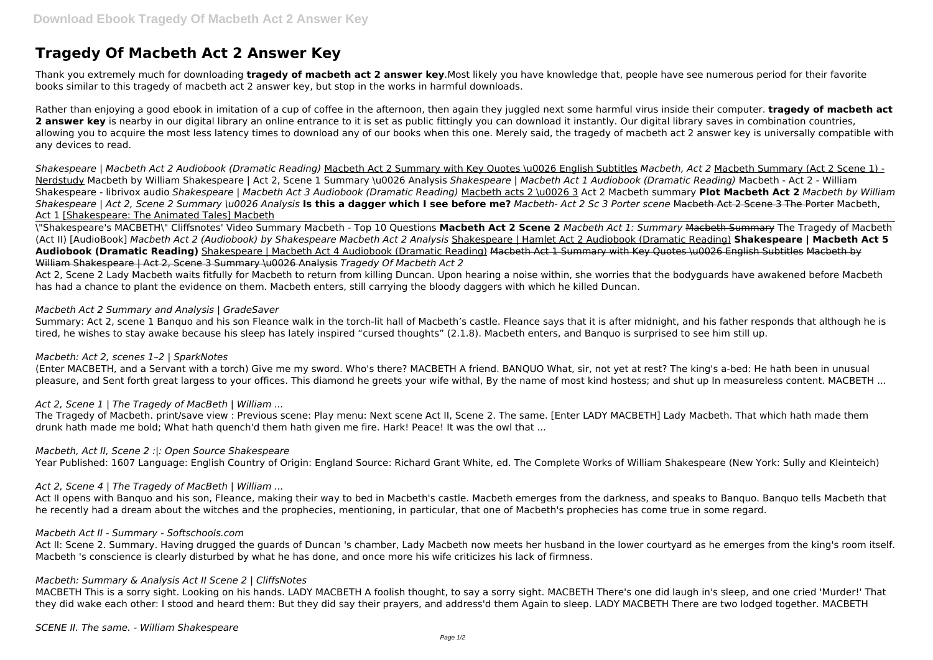# **Tragedy Of Macbeth Act 2 Answer Key**

Thank you extremely much for downloading **tragedy of macbeth act 2 answer key**.Most likely you have knowledge that, people have see numerous period for their favorite books similar to this tragedy of macbeth act 2 answer key, but stop in the works in harmful downloads.

Rather than enjoying a good ebook in imitation of a cup of coffee in the afternoon, then again they juggled next some harmful virus inside their computer. **tragedy of macbeth act** 2 answer key is nearby in our digital library an online entrance to it is set as public fittingly you can download it instantly. Our digital library saves in combination countries, allowing you to acquire the most less latency times to download any of our books when this one. Merely said, the tragedy of macbeth act 2 answer key is universally compatible with any devices to read.

*Shakespeare | Macbeth Act 2 Audiobook (Dramatic Reading)* Macbeth Act 2 Summary with Key Quotes \u0026 English Subtitles *Macbeth, Act 2* Macbeth Summary (Act 2 Scene 1) - Nerdstudy Macbeth by William Shakespeare | Act 2, Scene 1 Summary \u0026 Analysis *Shakespeare | Macbeth Act 1 Audiobook (Dramatic Reading)* Macbeth - Act 2 - William Shakespeare - librivox audio *Shakespeare | Macbeth Act 3 Audiobook (Dramatic Reading)* Macbeth acts 2 \u0026 3 Act 2 Macbeth summary **Plot Macbeth Act 2** *Macbeth by William Shakespeare | Act 2, Scene 2 Summary \u0026 Analysis* **Is this a dagger which I see before me?** *Macbeth- Act 2 Sc 3 Porter scene* Macbeth Act 2 Scene 3 The Porter Macbeth, Act 1 [Shakespeare: The Animated Tales] Macbeth

Summary: Act 2, scene 1 Banguo and his son Fleance walk in the torch-lit hall of Macbeth's castle. Fleance says that it is after midnight, and his father responds that although he is tired, he wishes to stay awake because his sleep has lately inspired "cursed thoughts" (2.1.8). Macbeth enters, and Banquo is surprised to see him still up.

\"Shakespeare's MACBETH\" Cliffsnotes' Video Summary Macbeth - Top 10 Questions **Macbeth Act 2 Scene 2** *Macbeth Act 1: Summary* Macbeth Summary The Tragedy of Macbeth (Act II) [AudioBook] *Macbeth Act 2 (Audiobook) by Shakespeare Macbeth Act 2 Analysis* Shakespeare | Hamlet Act 2 Audiobook (Dramatic Reading) **Shakespeare | Macbeth Act 5 Audiobook (Dramatic Reading)** Shakespeare | Macbeth Act 4 Audiobook (Dramatic Reading) Macbeth Act 1 Summary with Key Quotes \u0026 English Subtitles Macbeth by William Shakespeare | Act 2, Scene 3 Summary \u0026 Analysis *Tragedy Of Macbeth Act 2*

Act II opens with Banquo and his son, Fleance, making their way to bed in Macbeth's castle. Macbeth emerges from the darkness, and speaks to Banquo. Banquo tells Macbeth that he recently had a dream about the witches and the prophecies, mentioning, in particular, that one of Macbeth's prophecies has come true in some regard.

Act II: Scene 2. Summary. Having drugged the guards of Duncan 's chamber, Lady Macbeth now meets her husband in the lower courtyard as he emerges from the king's room itself. Macbeth 's conscience is clearly disturbed by what he has done, and once more his wife criticizes his lack of firmness.

Act 2, Scene 2 Lady Macbeth waits fitfully for Macbeth to return from killing Duncan. Upon hearing a noise within, she worries that the bodyguards have awakened before Macbeth has had a chance to plant the evidence on them. Macbeth enters, still carrying the bloody daggers with which he killed Duncan.

### *Macbeth Act 2 Summary and Analysis | GradeSaver*

### *Macbeth: Act 2, scenes 1–2 | SparkNotes*

(Enter MACBETH, and a Servant with a torch) Give me my sword. Who's there? MACBETH A friend. BANQUO What, sir, not yet at rest? The king's a-bed: He hath been in unusual pleasure, and Sent forth great largess to your offices. This diamond he greets your wife withal, By the name of most kind hostess; and shut up In measureless content. MACBETH ...

## *Act 2, Scene 1 | The Tragedy of MacBeth | William ...*

The Tragedy of Macbeth. print/save view : Previous scene: Play menu: Next scene Act II, Scene 2. The same. [Enter LADY MACBETH] Lady Macbeth. That which hath made them drunk hath made me bold; What hath quench'd them hath given me fire. Hark! Peace! It was the owl that ...

### *Macbeth, Act II, Scene 2 :|: Open Source Shakespeare*

Year Published: 1607 Language: English Country of Origin: England Source: Richard Grant White, ed. The Complete Works of William Shakespeare (New York: Sully and Kleinteich)

### *Act 2, Scene 4 | The Tragedy of MacBeth | William ...*

### *Macbeth Act II - Summary - Softschools.com*

### *Macbeth: Summary & Analysis Act II Scene 2 | CliffsNotes*

MACBETH This is a sorry sight. Looking on his hands. LADY MACBETH A foolish thought, to say a sorry sight. MACBETH There's one did laugh in's sleep, and one cried 'Murder!' That they did wake each other: I stood and heard them: But they did say their prayers, and address'd them Again to sleep. LADY MACBETH There are two lodged together. MACBETH